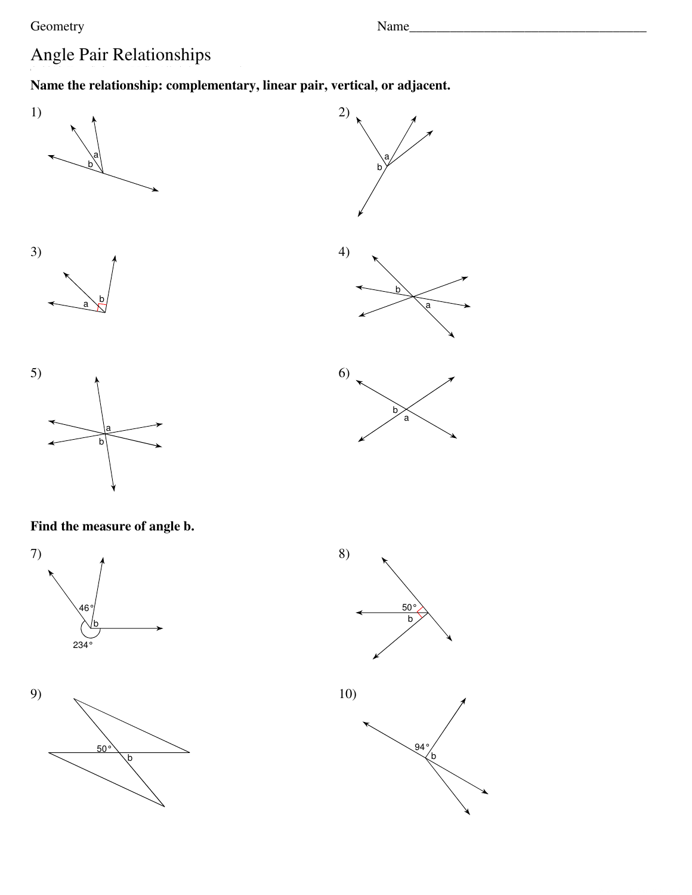Geometry

## Angle Pair Relationships

## Name the relationship: complementary, linear pair, vertical, or adjacent.









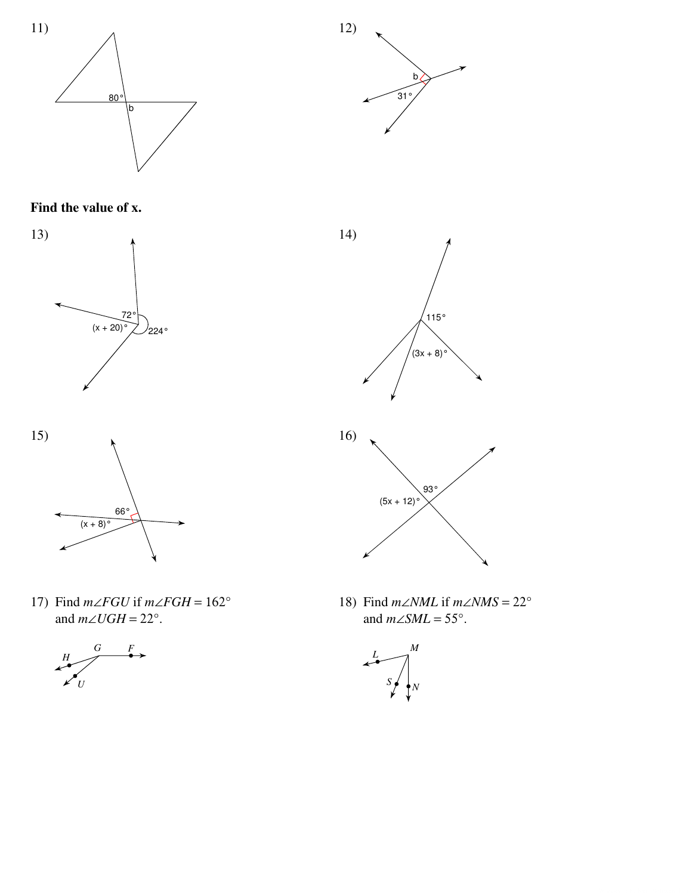



Find the value of x.





17) Find  $m\angle FGU$  if  $m\angle FGH = 162^\circ$ and  $m\angle UGH = 22^\circ$ .







18) Find  $m\angle NML$  if  $m\angle NMS = 22^\circ$ and  $m\angle SML = 55^\circ$ .

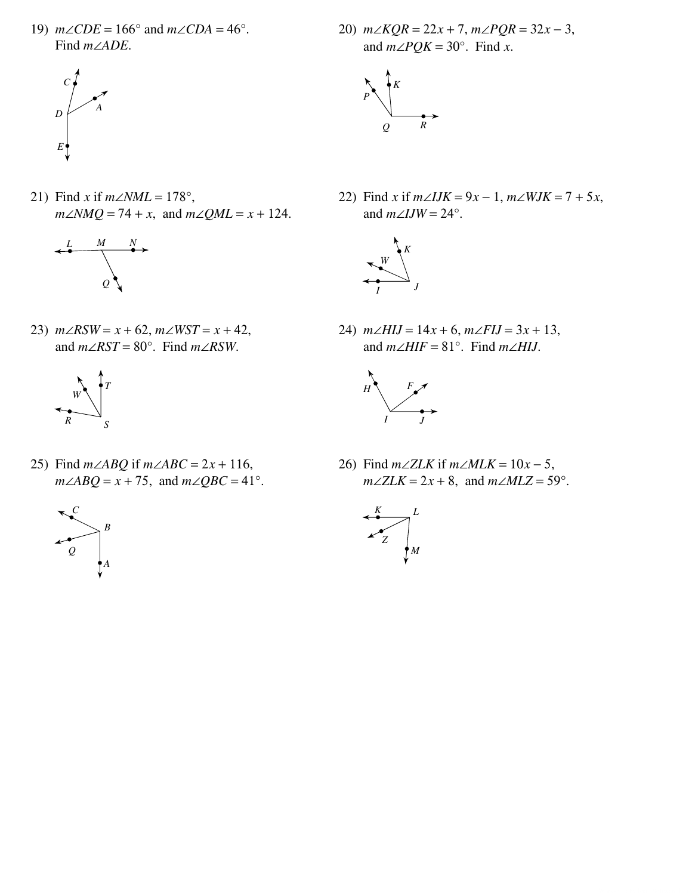19)  $m\angle CDE = 166^\circ$  and  $m\angle CDA = 46^\circ$ . Find  $m\angle ADE$ .



21) Find x if  $m\angle NML = 178^\circ$ ,  $m\angle NMQ = 74 + x$ , and  $m\angle QML = x + 124$ .



23)  $m\angle RSW = x + 62$ ,  $m\angle WST = x + 42$ , and  $m\angle RST = 80^\circ$ . Find  $m\angle RSW$ .



25) Find  $m\angle ABQ$  if  $m\angle ABC = 2x + 116$ ,  $m\angle ABQ = x + 75$ , and  $m\angle QBC = 41^{\circ}$ .



20)  $m\angle KQR = 22x + 7$ ,  $m\angle PQR = 32x - 3$ , and  $m\angle PQK = 30^\circ$ . Find x.



22) Find x if  $m\angle IJK = 9x - 1$ ,  $m\angle WJK = 7 + 5x$ , and  $m\angle IJW = 24^\circ$ .



24)  $m\angle HIJ = 14x + 6$ ,  $m\angle FIJ = 3x + 13$ , and  $m\angle HIF = 81^\circ$ . Find  $m\angle HIJ$ .



26) Find  $m\angle ZLK$  if  $m\angle MLK = 10x - 5$ ,  $m\angle ZLK = 2x + 8$ , and  $m\angle MLZ = 59^\circ$ .

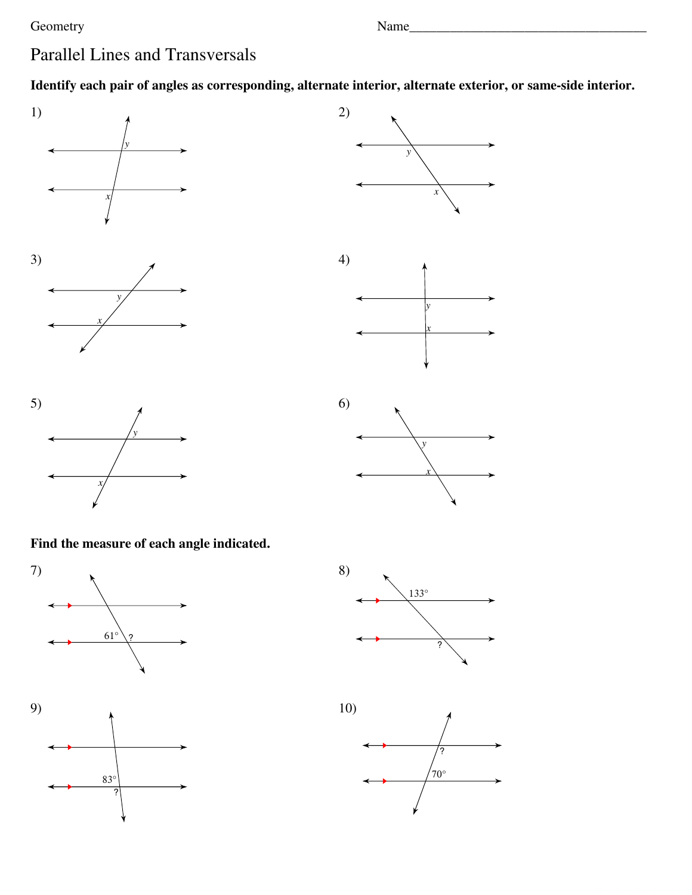## Geometry

Name

## **Parallel Lines and Transversals**

Identify each pair of angles as corresponding, alternate interior, alternate exterior, or same-side interior.









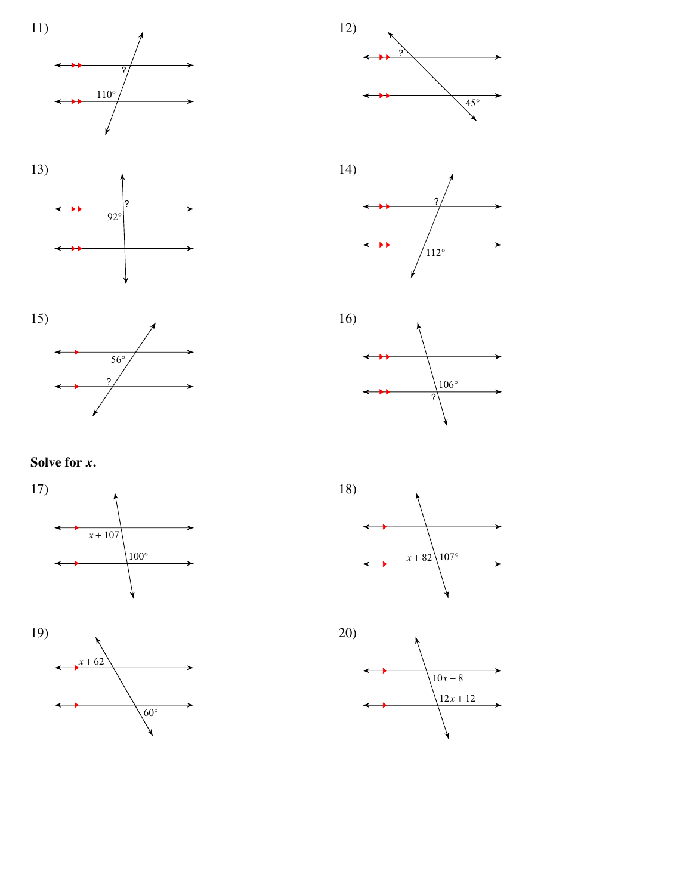